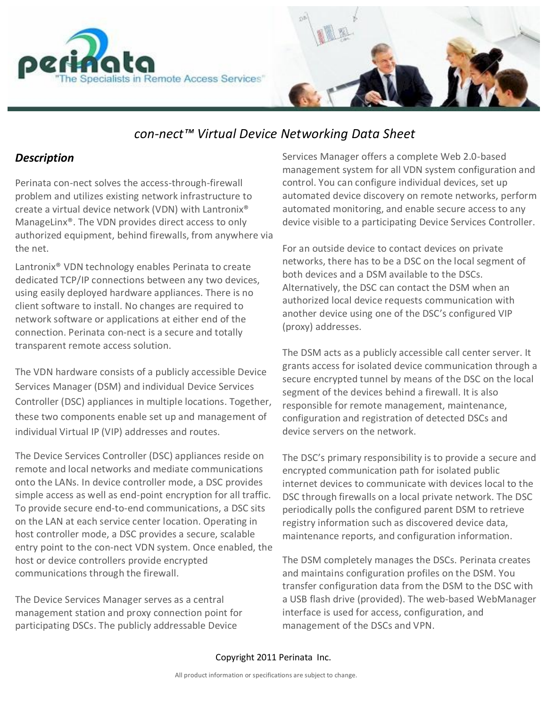



# *con-nect™ Virtual Device Networking Data Sheet*

## *Description*

Perinata con-nect solves the access-through-firewall problem and utilizes existing network infrastructure to create a virtual device network (VDN) with Lantronix® ManageLinx®. The VDN provides direct access to only authorized equipment, behind firewalls, from anywhere via the net.

Lantronix® VDN technology enables Perinata to create dedicated TCP/IP connections between any two devices, using easily deployed hardware appliances. There is no client software to install. No changes are required to network software or applications at either end of the connection. Perinata con-nect is a secure and totally transparent remote access solution.

The VDN hardware consists of a publicly accessible Device Services Manager (DSM) and individual Device Services Controller (DSC) appliances in multiple locations. Together, these two components enable set up and management of individual Virtual IP (VIP) addresses and routes.

The Device Services Controller (DSC) appliances reside on remote and local networks and mediate communications onto the LANs. In device controller mode, a DSC provides simple access as well as end-point encryption for all traffic. To provide secure end-to-end communications, a DSC sits on the LAN at each service center location. Operating in host controller mode, a DSC provides a secure, scalable entry point to the con-nect VDN system. Once enabled, the host or device controllers provide encrypted communications through the firewall.

The Device Services Manager serves as a central management station and proxy connection point for participating DSCs. The publicly addressable Device

Services Manager offers a complete Web 2.0-based management system for all VDN system configuration and control. You can configure individual devices, set up automated device discovery on remote networks, perform automated monitoring, and enable secure access to any device visible to a participating Device Services Controller.

For an outside device to contact devices on private networks, there has to be a DSC on the local segment of both devices and a DSM available to the DSCs. Alternatively, the DSC can contact the DSM when an authorized local device requests communication with another device using one of the DSC's configured VIP (proxy) addresses.

The DSM acts as a publicly accessible call center server. It grants access for isolated device communication through a secure encrypted tunnel by means of the DSC on the local segment of the devices behind a firewall. It is also responsible for remote management, maintenance, configuration and registration of detected DSCs and device servers on the network.

The DSC's primary responsibility is to provide a secure and encrypted communication path for isolated public internet devices to communicate with devices local to the DSC through firewalls on a local private network. The DSC periodically polls the configured parent DSM to retrieve registry information such as discovered device data, maintenance reports, and configuration information.

The DSM completely manages the DSCs. Perinata creates and maintains configuration profiles on the DSM. You transfer configuration data from the DSM to the DSC with a USB flash drive (provided). The web-based WebManager interface is used for access, configuration, and management of the DSCs and VPN.